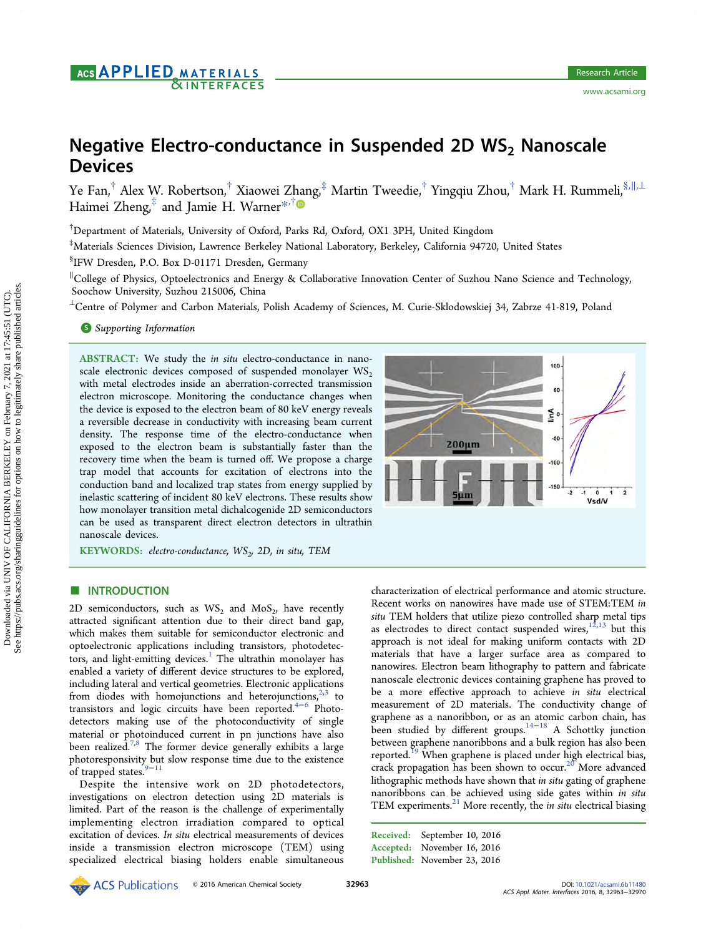ww.acsami.org

# Negative Electro-conductance in Suspended 2D  $WS_2$  Nanoscale **Devices**

Ye Fan,† Alex W. Robertson,† Xiaowei Z[han](#page-5-0)g,‡ Martin Tweedie,† Yingqiu Zhou,† Mark H. Rummeli,§,∥,<sup>⊥</sup> Haimei Zheng, $\frac{4}{3}$  and Jamie H. Warner[\\*](#page-5-0),  $\frac{4}{3}$ 

† Department of Materials, University of Oxford, Parks Rd, Oxford, OX1 3PH, United Kingdom

‡ Materials Sciences Division, Lawrence Berkeley National Laboratory, Berkeley, California 94720, United States

§ IFW Dresden, P.O. Box D-01171 Dresden, Germany

∥ College of Physics, Optoelectronics and Energy & Collaborative Innovation Center of Suzhou Nano Science and Technology, Soochow University, Suzhou 215006, China

<sup>⊥</sup>Centre of Polymer and Carbon Materials, Polish Academy of Sciences, M. Curie-Sklodowskiej 34, Zabrze 41-819, Poland

## **S** [Supporting Information](#page-5-0)

ABSTRACT: We study the in situ electro-conductance in nanoscale electronic devices composed of suspended monolayer  $WS_2$ with metal electrodes inside an aberration-corrected transmission electron microscope. Monitoring the conductance changes when the device is exposed to the electron beam of 80 keV energy reveals a reversible decrease in conductivity with increasing beam current density. The response time of the electro-conductance when exposed to the electron beam is substantially faster than the recovery time when the beam is turned off. We propose a charge trap model that accounts for excitation of electrons into the conduction band and localized trap states from energy supplied by inelastic scattering of incident 80 keV electrons. These results show how monolayer transition metal dichalcogenide 2D semiconductors can be used as transparent direct electron detectors in ultrathin nanoscale devices.



KEYWORDS: electro-conductance,  $WS_{2}$ , 2D, in situ, TEM

# **ENTRODUCTION**

2D semiconductors, such as  $WS_2$  and  $MoS_2$ , have recently attracted significant attention due to their direct band gap, which makes them suitable for semiconductor electronic and optoelectronic applications including transistors, photodetec-tors, and light-emitting devices.<sup>[1](#page-6-0)</sup> The ultrathin monolayer has enabled a variety of different device structures to be explored, including lateral and vertical geometries. Electronic applications from diodes with homojunctions and heterojunctions,  $2,3$  $2,3$  $2,3$  to transistors and logic circuits have been reported.<sup>[4](#page-6-0)-[6](#page-6-0)</sup> Photodetectors making use of the photoconductivity of single material or photoinduced current in pn junctions have also been realized.<sup>[7](#page-6-0),[8](#page-6-0)</sup> The former device generally exhibits a large photoresponsivity but slow response time due to the existence of trapped states.<sup>[9](#page-6-0)−[11](#page-6-0)</sup>

Despite the intensive work on 2D photodetectors, investigations on electron detection using 2D materials is limited. Part of the reason is the challenge of experimentally implementing electron irradiation compared to optical excitation of devices. In situ electrical measurements of devices inside a transmission electron microscope (TEM) using specialized electrical biasing holders enable simultaneous

characterization of electrical performance and atomic structure. Recent works on nanowires have made use of STEM:TEM in situ TEM holders that utilize piezo controlled sharp metal tips as electrodes to direct contact suspended wires, $12,13$  $12,13$  $12,13$  but this approach is not ideal for making uniform contacts with 2D materials that have a larger surface area as compared to nanowires. Electron beam lithography to pattern and fabricate nanoscale electronic devices containing graphene has proved to be a more effective approach to achieve in situ electrical measurement of 2D materials. The conductivity change of graphene as a nanoribbon, or as an atomic carbon chain, has been studied by different groups[.14](#page-6-0)<sup>−</sup>[18](#page-6-0) A Schottky junction between graphene nanoribbons and a bulk region has also been reported.<sup>[19](#page-6-0)</sup> When graphene is placed under high electrical bias, crack propagation has been shown to occur.<sup>[20](#page-6-0)</sup> More advanced lithographic methods have shown that in situ gating of graphene nanoribbons can be achieved using side gates within in situ TEM experiments. $^{21}$  $^{21}$  $^{21}$  More recently, the *in situ* electrical biasing

Received: September 10, 2016 Accepted: November 16, 2016 Published: November 23, 2016

See https://pubs.acs.org/sharingguidelines for options on how to legitimately share published articles.Downloaded via UNIV OF CALIFORNIA BERKELEY on February 7, 2021 at 17:45:51 (UTC).<br>See https://pubs.acs.org/sharingguidelines for options on how to legitimately share published articles. Downloaded via UNIV OF CALIFORNIA BERKELEY on February 7, 2021 at 17:45:51 (UTC).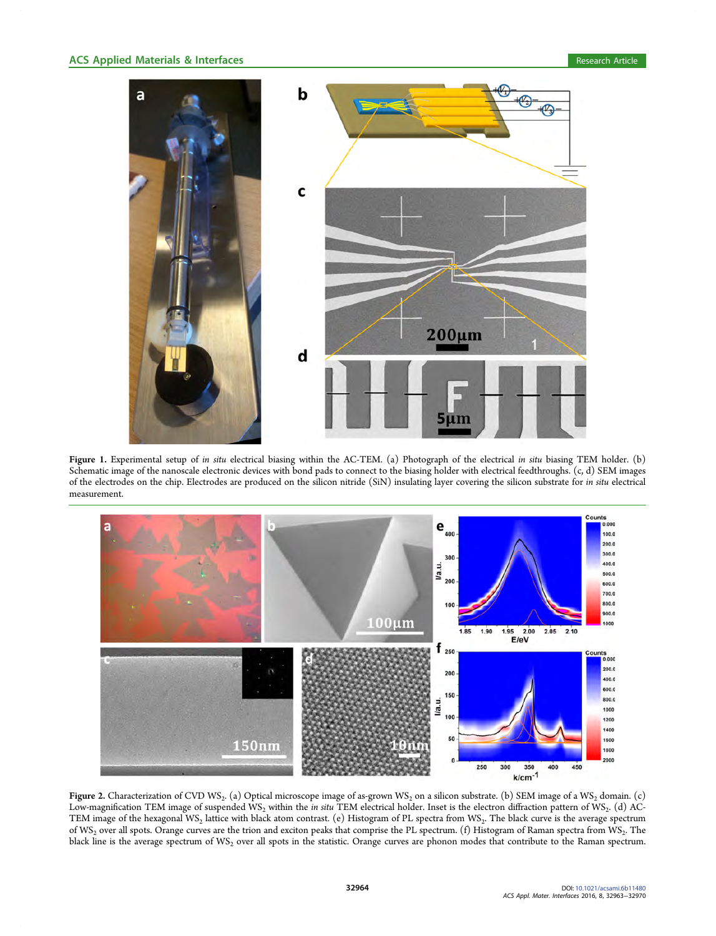<span id="page-1-0"></span>

Figure 1. Experimental setup of in situ electrical biasing within the AC-TEM. (a) Photograph of the electrical in situ biasing TEM holder. (b) Schematic image of the nanoscale electronic devices with bond pads to connect to the biasing holder with electrical feedthroughs. (c, d) SEM images of the electrodes on the chip. Electrodes are produced on the silicon nitride (SiN) insulating layer covering the silicon substrate for in situ electrical measurement.



Figure 2. Characterization of CVD WS<sub>2</sub>. (a) Optical microscope image of as-grown WS<sub>2</sub> on a silicon substrate. (b) SEM image of a WS<sub>2</sub> domain. (c) Low-magnification TEM image of suspended WS<sub>2</sub> within the in situ TEM electrical holder. Inset is the electron diffraction pattern of WS<sub>2</sub>. (d) AC-TEM image of the hexagonal WS<sub>2</sub> lattice with black atom contrast. (e) Histogram of PL spectra from WS<sub>2</sub>. The black curve is the average spectrum of WS<sub>2</sub> over all spots. Orange curves are the trion and exciton peaks that comprise the PL spectrum. (f) Histogram of Raman spectra from WS<sub>2</sub>. The black line is the average spectrum of WS<sub>2</sub> over all spots in the statistic. Orange curves are phonon modes that contribute to the Raman spectrum.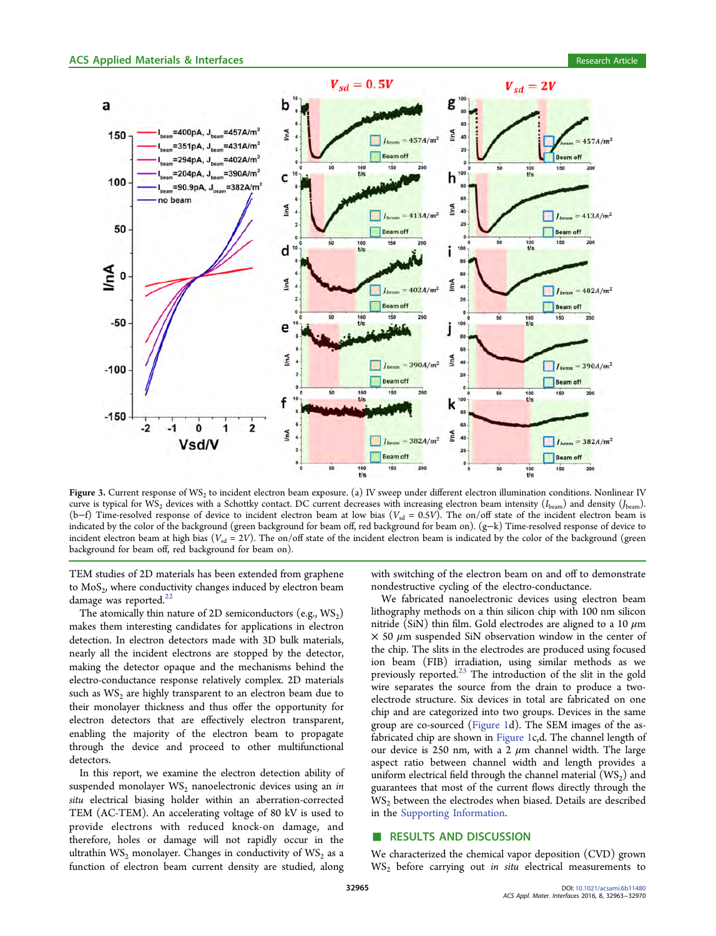<span id="page-2-0"></span>

Figure 3. Current response of WS<sub>2</sub> to incident electron beam exposure. (a) IV sweep under different electron illumination conditions. Nonlinear IV curve is typical for  $\hat{WS}_2$  devices with a Schottky contact. DC current decreases with increasing electron beam intensity ( $I_{\text{beam}}$ ) and density ( $J_{\text{beam}}$ ). (b−f) Time-resolved response of device to incident electron beam at low bias ( $V_{sd} = 0.5V$ ). The on/off state of the incident electron beam is indicated by the color of the background (green background for beam off, red background for beam on). (g−k) Time-resolved response of device to incident electron beam at high bias ( $V_{sd} = 2V$ ). The on/off state of the incident electron beam is indicated by the color of the background (green background for beam off, red background for beam on).

TEM studies of 2D materials has been extended from graphene to  $MoS<sub>2</sub>$ , where conductivity changes induced by electron beam damage was reported.<sup>[22](#page-6-0)</sup>

The atomically thin nature of 2D semiconductors (e.g.,  $WS_2$ ) makes them interesting candidates for applications in electron detection. In electron detectors made with 3D bulk materials, nearly all the incident electrons are stopped by the detector, making the detector opaque and the mechanisms behind the electro-conductance response relatively complex. 2D materials such as  $WS_2$  are highly transparent to an electron beam due to their monolayer thickness and thus offer the opportunity for electron detectors that are effectively electron transparent, enabling the majority of the electron beam to propagate through the device and proceed to other multifunctional detectors.

In this report, we examine the electron detection ability of suspended monolayer  $WS_2$  nanoelectronic devices using an in situ electrical biasing holder within an aberration-corrected TEM (AC-TEM). An accelerating voltage of 80 kV is used to provide electrons with reduced knock-on damage, and therefore, holes or damage will not rapidly occur in the ultrathin  $WS_2$  monolayer. Changes in conductivity of  $WS_2$  as a function of electron beam current density are studied, along

with switching of the electron beam on and off to demonstrate nondestructive cycling of the electro-conductance.

We fabricated nanoelectronic devices using electron beam lithography methods on a thin silicon chip with 100 nm silicon nitride (SiN) thin film. Gold electrodes are aligned to a 10  $\mu$ m  $\times$  50  $\mu$ m suspended SiN observation window in the center of the chip. The slits in the electrodes are produced using focused ion beam (FIB) irradiation, using similar methods as we previously reported.<sup>[23](#page-6-0)</sup> The introduction of the slit in the gold wire separates the source from the drain to produce a twoelectrode structure. Six devices in total are fabricated on one chip and are categorized into two groups. Devices in the same group are co-sourced ([Figure 1d](#page-1-0)). The SEM images of the asfabricated chip are shown in [Figure 1](#page-1-0)c,d. The channel length of our device is 250 nm, with a 2  $\mu$ m channel width. The large aspect ratio between channel width and length provides a uniform electrical field through the channel material  $(WS_2)$  and guarantees that most of the current flows directly through the  $WS<sub>2</sub>$  between the electrodes when biased. Details are described in the [Supporting Information](http://pubs.acs.org/doi/suppl/10.1021/acsami.6b11480/suppl_file/am6b11480_si_001.pdf).

# ■ RESULTS AND DISCUSSION

We characterized the chemical vapor deposition (CVD) grown  $WS_2$  before carrying out in situ electrical measurements to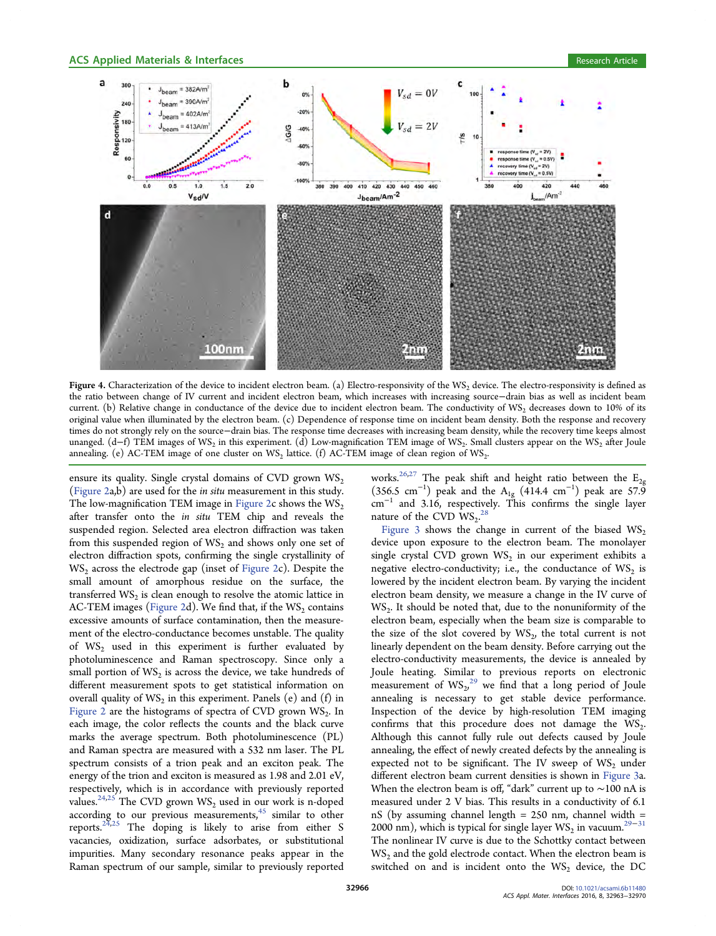<span id="page-3-0"></span>

Figure 4. Characterization of the device to incident electron beam. (a) Electro-responsivity of the WS<sub>2</sub> device. The electro-responsivity is defined as the ratio between change of IV current and incident electron beam, which increases with increasing source−drain bias as well as incident beam current. (b) Relative change in conductance of the device due to incident electron beam. The conductivity of WS<sub>2</sub> decreases down to 10% of its original value when illuminated by the electron beam. (c) Dependence of response time on incident beam density. Both the response and recovery times do not strongly rely on the source−drain bias. The response time decreases with increasing beam density, while the recovery time keeps almost unanged. (d-f) TEM images of WS<sub>2</sub> in this experiment. (d) Low-magnification TEM image of WS<sub>2</sub>. Small clusters appear on the WS<sub>2</sub> after Joule annealing. (e) AC-TEM image of one cluster on  $WS_2$  lattice. (f) AC-TEM image of clean region of  $WS_2$ .

ensure its quality. Single crystal domains of CVD grown  $WS_2$ [\(Figure 2a](#page-1-0),b) are used for the in situ measurement in this study. The low-magnification TEM image in [Figure 2](#page-1-0)c shows the  $\text{WS}_2$ after transfer onto the in situ TEM chip and reveals the suspended region. Selected area electron diffraction was taken from this suspended region of  $WS_2$  and shows only one set of electron diffraction spots, confirming the single crystallinity of  $WS_2$  across the electrode gap (inset of [Figure 2](#page-1-0)c). Despite the small amount of amorphous residue on the surface, the transferred  $WS_2$  is clean enough to resolve the atomic lattice in AC-TEM images [\(Figure 2](#page-1-0)d). We find that, if the  $WS_2$  contains excessive amounts of surface contamination, then the measurement of the electro-conductance becomes unstable. The quality of  $WS_2$  used in this experiment is further evaluated by photoluminescence and Raman spectroscopy. Since only a small portion of  $WS_2$  is across the device, we take hundreds of different measurement spots to get statistical information on overall quality of  $WS_2$  in this experiment. Panels (e) and (f) in [Figure 2](#page-1-0) are the histograms of spectra of CVD grown  $WS_2$ . In each image, the color reflects the counts and the black curve marks the average spectrum. Both photoluminescence (PL) and Raman spectra are measured with a 532 nm laser. The PL spectrum consists of a trion peak and an exciton peak. The energy of the trion and exciton is measured as 1.98 and 2.01 eV, respectively, which is in accordance with previously reported values.<sup>[24](#page-6-0),[25](#page-6-0)</sup> The CVD grown  $WS_2$  used in our work is n-doped according to our previous measurements, $45$  similar to other reports.<sup>[24](#page-6-0),[25](#page-6-0)</sup> The doping is likely to arise from either S vacancies, oxidization, surface adsorbates, or substitutional impurities. Many secondary resonance peaks appear in the Raman spectrum of our sample, similar to previously reported

works.<sup>[26,27](#page-6-0)</sup> The peak shift and height ratio between the  $E_{2g}$ (356.5 cm<sup>-1</sup>) peak and the A<sub>1g</sub> (414.4 cm<sup>-1</sup>) peak are 57.9 cm<sup>−</sup><sup>1</sup> and 3.16, respectively. This confirms the single layer nature of the CVD  $\text{WS}_2$ .<sup>[28](#page-6-0)</sup>

[Figure 3](#page-2-0) shows the change in current of the biased  $WS_2$ device upon exposure to the electron beam. The monolayer single crystal CVD grown  $WS_2$  in our experiment exhibits a negative electro-conductivity; i.e., the conductance of  $WS_2$  is lowered by the incident electron beam. By varying the incident electron beam density, we measure a change in the IV curve of  $WS<sub>2</sub>$ . It should be noted that, due to the nonuniformity of the electron beam, especially when the beam size is comparable to the size of the slot covered by  $WS_{2}$ , the total current is not linearly dependent on the beam density. Before carrying out the electro-conductivity measurements, the device is annealed by Joule heating. Similar to previous reports on electronic measurement of  $\text{WS}_2^{29}$  $\text{WS}_2^{29}$  $\text{WS}_2^{29}$  we find that a long period of Joule annealing is necessary to get stable device performance. Inspection of the device by high-resolution TEM imaging confirms that this procedure does not damage the  $WS_2$ . Although this cannot fully rule out defects caused by Joule annealing, the effect of newly created defects by the annealing is expected not to be significant. The IV sweep of  $WS_2$  under different electron beam current densities is shown in [Figure 3a](#page-2-0). When the electron beam is off, "dark" current up to ∼100 nA is measured under 2 V bias. This results in a conductivity of 6.1 nS (by assuming channel length = 250 nm, channel width = 2000 nm), which is typical for single layer  $\text{WS}_2$  in vacuum.<sup>[29](#page-6-0)–[31](#page-6-0)</sup> The nonlinear IV curve is due to the Schottky contact between  $WS<sub>2</sub>$  and the gold electrode contact. When the electron beam is switched on and is incident onto the  $WS_2$  device, the DC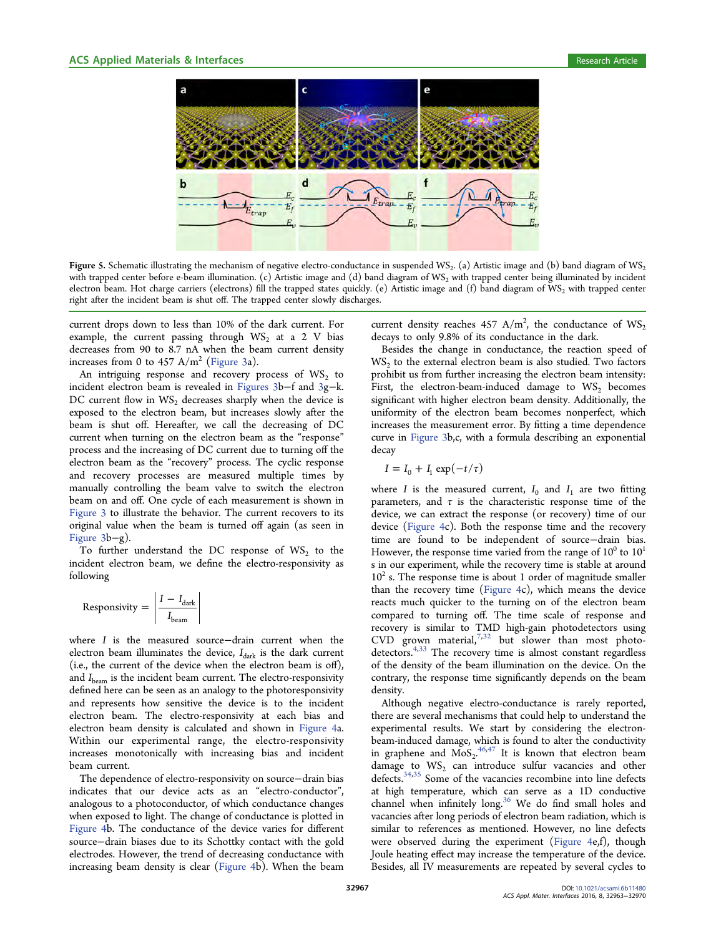<span id="page-4-0"></span>

Figure 5. Schematic illustrating the mechanism of negative electro-conductance in suspended WS<sub>2</sub>. (a) Artistic image and (b) band diagram of WS<sub>2</sub>. with trapped center before e-beam illumination. (c) Artistic image and (d) band diagram of WS<sub>2</sub> with trapped center being illuminated by incident electron beam. Hot charge carriers (electrons) fill the trapped states quickly. (e) Artistic image and (f) band diagram of WS<sub>2</sub> with trapped center right after the incident beam is shut off. The trapped center slowly discharges.

current drops down to less than 10% of the dark current. For example, the current passing through  $WS_2$  at a 2 V bias decreases from 90 to 8.7 nA when the beam current density increases from 0 to 457  $A/m^2$  [\(Figure 3](#page-2-0)a).

An intriguing response and recovery process of  $WS_2$  to incident electron beam is revealed in [Figures 3](#page-2-0)b−f and [3g](#page-2-0)−k. DC current flow in  $WS_2$  decreases sharply when the device is exposed to the electron beam, but increases slowly after the beam is shut off. Hereafter, we call the decreasing of DC current when turning on the electron beam as the "response" process and the increasing of DC current due to turning off the electron beam as the "recovery" process. The cyclic response and recovery processes are measured multiple times by manually controlling the beam valve to switch the electron beam on and off. One cycle of each measurement is shown in [Figure 3](#page-2-0) to illustrate the behavior. The current recovers to its original value when the beam is turned off again (as seen in [Figure 3b](#page-2-0)−g).

To further understand the DC response of WS<sub>2</sub> to the incident electron beam, we define the electro-responsivity as following

$$
Responsivity = \left| \frac{I - I_{dark}}{I_{beam}} \right|
$$

where I is the measured source−drain current when the electron beam illuminates the device,  $I_{dark}$  is the dark current (i.e., the current of the device when the electron beam is off), and  $I_{\text{beam}}$  is the incident beam current. The electro-responsivity defined here can be seen as an analogy to the photoresponsivity and represents how sensitive the device is to the incident electron beam. The electro-responsivity at each bias and electron beam density is calculated and shown in [Figure 4a](#page-3-0). Within our experimental range, the electro-responsivity increases monotonically with increasing bias and incident beam current.

The dependence of electro-responsivity on source−drain bias indicates that our device acts as an "electro-conductor", analogous to a photoconductor, of which conductance changes when exposed to light. The change of conductance is plotted in [Figure 4](#page-3-0)b. The conductance of the device varies for different source−drain biases due to its Schottky contact with the gold electrodes. However, the trend of decreasing conductance with increasing beam density is clear [\(Figure 4b](#page-3-0)). When the beam

current density reaches 457 A/m<sup>2</sup>, the conductance of  $WS_2$ decays to only 9.8% of its conductance in the dark.

Besides the change in conductance, the reaction speed of  $WS_2$  to the external electron beam is also studied. Two factors prohibit us from further increasing the electron beam intensity: First, the electron-beam-induced damage to  $WS_2$  becomes significant with higher electron beam density. Additionally, the uniformity of the electron beam becomes nonperfect, which increases the measurement error. By fitting a time dependence curve in [Figure 3](#page-2-0)b,c, with a formula describing an exponential decay

$$
I = I_0 + I_1 \exp(-t/\tau)
$$

where I is the measured current,  $I_0$  and  $I_1$  are two fitting parameters, and  $\tau$  is the characteristic response time of the device, we can extract the response (or recovery) time of our device ([Figure 4c](#page-3-0)). Both the response time and the recovery time are found to be independent of source−drain bias. However, the response time varied from the range of  $10^0$  to  $10^1$ s in our experiment, while the recovery time is stable at around  $10<sup>2</sup>$  s. The response time is about 1 order of magnitude smaller than the recovery time ([Figure 4c](#page-3-0)), which means the device reacts much quicker to the turning on of the electron beam compared to turning off. The time scale of response and recovery is similar to TMD high-gain photodetectors using  $CVD$  grown material,<sup>[7](#page-6-0),[32](#page-6-0)</sup> but slower than most photo-detectors.<sup>[4,33](#page-6-0)</sup> The recovery time is almost constant regardless of the density of the beam illumination on the device. On the contrary, the response time significantly depends on the beam density.

Although negative electro-conductance is rarely reported, there are several mechanisms that could help to understand the experimental results. We start by considering the electronbeam-induced damage, which is found to alter the conductivity in graphene and  $M_0S_2$ <sup>[46,47](#page-7-0)</sup> It is known that electron beam damage to  $WS_2$  can introduce sulfur vacancies and other defects.<sup>[34,35](#page-6-0)</sup> Some of the vacancies recombine into line defects at high temperature, which can serve as a 1D conductive channel when infinitely long.<sup>[36](#page-6-0)</sup> We do find small holes and vacancies after long periods of electron beam radiation, which is similar to references as mentioned. However, no line defects were observed during the experiment [\(Figure 4](#page-3-0)e,f), though Joule heating effect may increase the temperature of the device. Besides, all IV measurements are repeated by several cycles to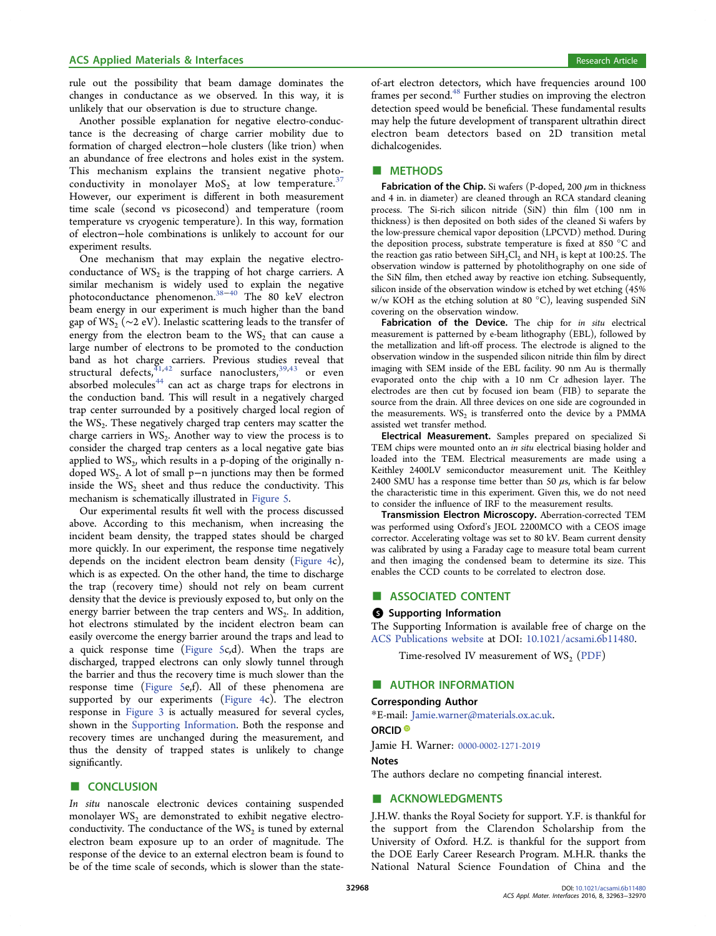# <span id="page-5-0"></span>ACS Applied Materials & Interfaces **Research Article** Research Article **Research Article**

rule out the possibility that beam damage dominates the changes in conductance as we observed. In this way, it is unlikely that our observation is due to structure change.

Another possible explanation for negative electro-conductance is the decreasing of charge carrier mobility due to formation of charged electron−hole clusters (like trion) when an abundance of free electrons and holes exist in the system. This mechanism explains the transient negative photoconductivity in monolayer  $MoS<sub>2</sub>$  at low temperature.<sup>[37](#page-6-0)</sup> However, our experiment is different in both measurement time scale (second vs picosecond) and temperature (room temperature vs cryogenic temperature). In this way, formation of electron−hole combinations is unlikely to account for our experiment results.

One mechanism that may explain the negative electroconductance of  $WS_2$  is the trapping of hot charge carriers. A similar mechanism is widely used to explain the negative photoconductance phenomenon.<sup>[38](#page-6-0)–[40](#page-7-0)</sup> The 80 keV electron beam energy in our experiment is much higher than the band gap of WS<sub>2</sub> ( $\sim$ 2 eV). Inelastic scattering leads to the transfer of energy from the electron beam to the  $WS_2$  that can cause a large number of electrons to be promoted to the conduction band as hot charge carriers. Previous studies reveal that structural defects,  $^{41,42}_{41,42}$  $^{41,42}_{41,42}$  $^{41,42}_{41,42}$  surface nanoclusters,  $^{39,43}_{43}$  $^{39,43}_{43}$  $^{39,43}_{43}$  $^{39,43}_{43}$  $^{39,43}_{43}$  or even absorbed molecules<sup>[44](#page-7-0)</sup> can act as charge traps for electrons in the conduction band. This will result in a negatively charged trap center surrounded by a positively charged local region of the  $WS_2$ . These negatively charged trap centers may scatter the charge carriers in  $WS_2$ . Another way to view the process is to consider the charged trap centers as a local negative gate bias applied to  $WS_2$ , which results in a p-doping of the originally ndoped WS2. A lot of small p−n junctions may then be formed inside the  $WS_2$  sheet and thus reduce the conductivity. This mechanism is schematically illustrated in [Figure 5](#page-4-0).

Our experimental results fit well with the process discussed above. According to this mechanism, when increasing the incident beam density, the trapped states should be charged more quickly. In our experiment, the response time negatively depends on the incident electron beam density [\(Figure 4c](#page-3-0)), which is as expected. On the other hand, the time to discharge the trap (recovery time) should not rely on beam current density that the device is previously exposed to, but only on the energy barrier between the trap centers and  $WS_2$ . In addition, hot electrons stimulated by the incident electron beam can easily overcome the energy barrier around the traps and lead to a quick response time ([Figure 5](#page-4-0)c,d). When the traps are discharged, trapped electrons can only slowly tunnel through the barrier and thus the recovery time is much slower than the response time ([Figure 5e](#page-4-0),f). All of these phenomena are supported by our experiments [\(Figure 4c](#page-3-0)). The electron response in [Figure 3](#page-2-0) is actually measured for several cycles, shown in the [Supporting Information](http://pubs.acs.org/doi/suppl/10.1021/acsami.6b11480/suppl_file/am6b11480_si_001.pdf). Both the response and recovery times are unchanged during the measurement, and thus the density of trapped states is unlikely to change significantly.

# ■ CONCLUSION

In situ nanoscale electronic devices containing suspended monolayer  $WS_2$  are demonstrated to exhibit negative electroconductivity. The conductance of the  $WS_2$  is tuned by external electron beam exposure up to an order of magnitude. The response of the device to an external electron beam is found to be of the time scale of seconds, which is slower than the stateof-art electron detectors, which have frequencies around 100 frames per second.<sup>48</sup> Further studies on improving the electron detection speed would be beneficial. These fundamental results may help the future development of transparent ultrathin direct electron beam detectors based on 2D transition metal dichalcogenides.

## ■ METHODS

Fabrication of the Chip. Si wafers (P-doped, 200  $\mu$ m in thickness and 4 in. in diameter) are cleaned through an RCA standard cleaning process. The Si-rich silicon nitride (SiN) thin film (100 nm in thickness) is then deposited on both sides of the cleaned Si wafers by the low-pressure chemical vapor deposition (LPCVD) method. During the deposition process, substrate temperature is fixed at 850 °C and the reaction gas ratio between  $SiH_2Cl_2$  and  $NH_3$  is kept at 100:25. The observation window is patterned by photolithography on one side of the SiN film, then etched away by reactive ion etching. Subsequently, silicon inside of the observation window is etched by wet etching (45% w/w KOH as the etching solution at 80 °C), leaving suspended SiN covering on the observation window.

Fabrication of the Device. The chip for in situ electrical measurement is patterned by e-beam lithography (EBL), followed by the metallization and lift-off process. The electrode is aligned to the observation window in the suspended silicon nitride thin film by direct imaging with SEM inside of the EBL facility. 90 nm Au is thermally evaporated onto the chip with a 10 nm Cr adhesion layer. The electrodes are then cut by focused ion beam (FIB) to separate the source from the drain. All three devices on one side are cogrounded in the measurements.  $WS_2$  is transferred onto the device by a PMMA assisted wet transfer method.

Electrical Measurement. Samples prepared on specialized Si TEM chips were mounted onto an in situ electrical biasing holder and loaded into the TEM. Electrical measurements are made using a Keithley 2400LV semiconductor measurement unit. The Keithley 2400 SMU has a response time better than 50  $\mu$ s, which is far below the characteristic time in this experiment. Given this, we do not need to consider the influence of IRF to the measurement results.

Transmission Electron Microscopy. Aberration-corrected TEM was performed using Oxford's JEOL 2200MCO with a CEOS image corrector. Accelerating voltage was set to 80 kV. Beam current density was calibrated by using a Faraday cage to measure total beam current and then imaging the condensed beam to determine its size. This enables the CCD counts to be correlated to electron dose.

# ■ ASSOCIATED CONTENT

#### **S** Supporting Information

The Supporting Information is available free of charge on the [ACS Publications website](http://pubs.acs.org) at DOI: [10.1021/acsami.6b11480](http://pubs.acs.org/doi/abs/10.1021/acsami.6b11480).

Time-resolved IV measurement of  $WS_2$  ([PDF\)](http://pubs.acs.org/doi/suppl/10.1021/acsami.6b11480/suppl_file/am6b11480_si_001.pdf)

## ■ AUTHOR INFORMATION

#### Corresponding Author

\*E-mail: [Jamie.warner@materials.ox.ac.uk.](mailto:Jamie.warner@materials.ox.ac.uk)

## ORCID<sup>®</sup>

Jamie H. Warner: [0000-0002-1271-2019](http://orcid.org/0000-0002-1271-2019)

#### Notes

The authors declare no competing financial interest.

## ■ ACKNOWLEDGMENTS

J.H.W. thanks the Royal Society for support. Y.F. is thankful for the support from the Clarendon Scholarship from the University of Oxford. H.Z. is thankful for the support from the DOE Early Career Research Program. M.H.R. thanks the National Natural Science Foundation of China and the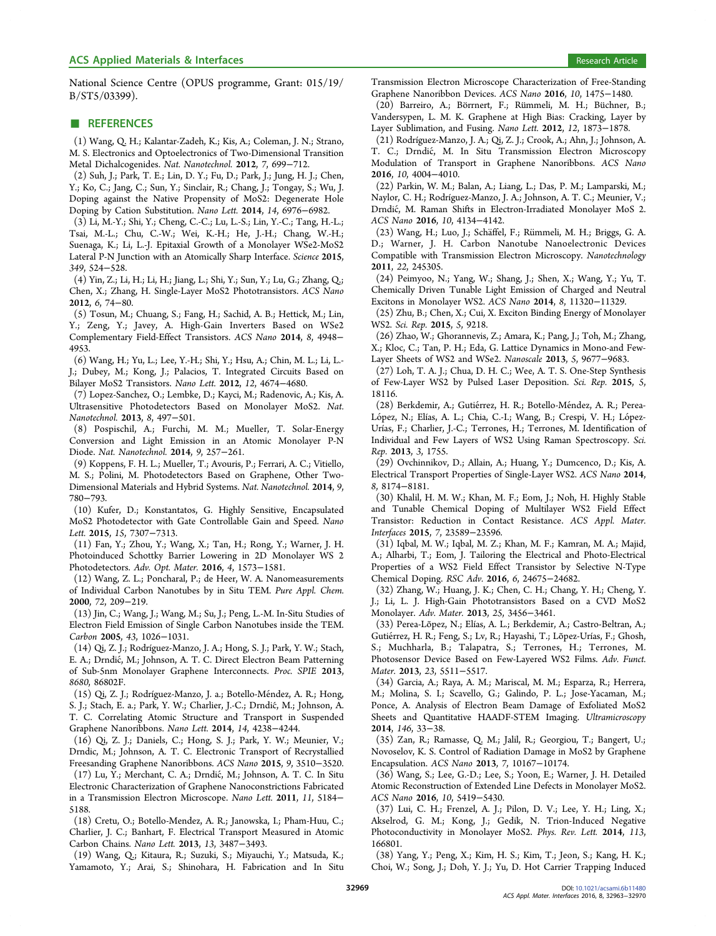<span id="page-6-0"></span>National Science Centre (OPUS programme, Grant: 015/19/ B/ST5/03399).

# ■ REFERENCES

(1) Wang, Q. H.; Kalantar-Zadeh, K.; Kis, A.; Coleman, J. N.; Strano, M. S. Electronics and Optoelectronics of Two-Dimensional Transition Metal Dichalcogenides. Nat. Nanotechnol. 2012, 7, 699−712.

(2) Suh, J.; Park, T. E.; Lin, D. Y.; Fu, D.; Park, J.; Jung, H. J.; Chen, Y.; Ko, C.; Jang, C.; Sun, Y.; Sinclair, R.; Chang, J.; Tongay, S.; Wu, J. Doping against the Native Propensity of MoS2: Degenerate Hole Doping by Cation Substitution. Nano Lett. 2014, 14, 6976−6982.

(3) Li, M.-Y.; Shi, Y.; Cheng, C.-C.; Lu, L.-S.; Lin, Y.-C.; Tang, H.-L.; Tsai, M.-L.; Chu, C.-W.; Wei, K.-H.; He, J.-H.; Chang, W.-H.; Suenaga, K.; Li, L.-J. Epitaxial Growth of a Monolayer WSe2-MoS2 Lateral P-N Junction with an Atomically Sharp Interface. Science 2015, 349, 524−528.

(4) Yin, Z.; Li, H.; Li, H.; Jiang, L.; Shi, Y.; Sun, Y.; Lu, G.; Zhang, Q.; Chen, X.; Zhang, H. Single-Layer MoS2 Phototransistors. ACS Nano 2012, 6, 74−80.

(5) Tosun, M.; Chuang, S.; Fang, H.; Sachid, A. B.; Hettick, M.; Lin, Y.; Zeng, Y.; Javey, A. High-Gain Inverters Based on WSe2 Complementary Field-Effect Transistors. ACS Nano 2014, 8, 4948− 4953.

(6) Wang, H.; Yu, L.; Lee, Y.-H.; Shi, Y.; Hsu, A.; Chin, M. L.; Li, L.- J.; Dubey, M.; Kong, J.; Palacios, T. Integrated Circuits Based on Bilayer MoS2 Transistors. Nano Lett. 2012, 12, 4674−4680.

(7) Lopez-Sanchez, O.; Lembke, D.; Kayci, M.; Radenovic, A.; Kis, A. Ultrasensitive Photodetectors Based on Monolayer MoS2. Nat. Nanotechnol. 2013, 8, 497−501.

(8) Pospischil, A.; Furchi, M. M.; Mueller, T. Solar-Energy Conversion and Light Emission in an Atomic Monolayer P-N Diode. Nat. Nanotechnol. 2014, 9, 257−261.

(9) Koppens, F. H. L.; Mueller, T.; Avouris, P.; Ferrari, A. C.; Vitiello, M. S.; Polini, M. Photodetectors Based on Graphene, Other Two-Dimensional Materials and Hybrid Systems. Nat. Nanotechnol. 2014, 9, 780−793.

(10) Kufer, D.; Konstantatos, G. Highly Sensitive, Encapsulated MoS2 Photodetector with Gate Controllable Gain and Speed. Nano Lett. 2015, 15, 7307−7313.

(11) Fan, Y.; Zhou, Y.; Wang, X.; Tan, H.; Rong, Y.; Warner, J. H. Photoinduced Schottky Barrier Lowering in 2D Monolayer WS 2 Photodetectors. Adv. Opt. Mater. 2016, 4, 1573−1581.

(12) Wang, Z. L.; Poncharal, P.; de Heer, W. A. Nanomeasurements of Individual Carbon Nanotubes by in Situ TEM. Pure Appl. Chem. 2000, 72, 209−219.

(13) Jin, C.; Wang, J.; Wang, M.; Su, J.; Peng, L.-M. In-Situ Studies of Electron Field Emission of Single Carbon Nanotubes inside the TEM. Carbon 2005, 43, 1026−1031.

(14) Qi, Z. J.; Rodríguez-Manzo, J. A.; Hong, S. J.; Park, Y. W.; Stach, E. A.; Drndić, M.; Johnson, A. T. C. Direct Electron Beam Patterning of Sub-5nm Monolayer Graphene Interconnects. Proc. SPIE 2013, 8680, 86802F.

(15) Qi, Z. J.; Rodríguez-Manzo, J. a.; Botello-Méndez, A. R.; Hong, S. J.; Stach, E. a.; Park, Y. W.; Charlier, J.-C.; Drndić, M.; Johnson, A. T. C. Correlating Atomic Structure and Transport in Suspended Graphene Nanoribbons. Nano Lett. 2014, 14, 4238−4244.

(16) Qi, Z. J.; Daniels, C.; Hong, S. J.; Park, Y. W.; Meunier, V.; Drndic, M.; Johnson, A. T. C. Electronic Transport of Recrystallied Freesanding Graphene Nanoribbons. ACS Nano 2015, 9, 3510−3520.

(17) Lu, Y.; Merchant, C. A.; Drndic, M.; Johnson, A. T. C. In Situ ́ Electronic Characterization of Graphene Nanoconstrictions Fabricated in a Transmission Electron Microscope. Nano Lett. 2011, 11, 5184− 5188.

(18) Cretu, O.; Botello-Mendez, A. R.; Janowska, I.; Pham-Huu, C.; Charlier, J. C.; Banhart, F. Electrical Transport Measured in Atomic Carbon Chains. Nano Lett. 2013, 13, 3487−3493.

(19) Wang, Q.; Kitaura, R.; Suzuki, S.; Miyauchi, Y.; Matsuda, K.; Yamamoto, Y.; Arai, S.; Shinohara, H. Fabrication and In Situ Transmission Electron Microscope Characterization of Free-Standing Graphene Nanoribbon Devices. ACS Nano 2016, 10, 1475−1480.

(20) Barreiro, A.; Bö rrnert, F.; Rü mmeli, M. H.; Bü chner, B.; Vandersypen, L. M. K. Graphene at High Bias: Cracking, Layer by Layer Sublimation, and Fusing. Nano Lett. 2012, 12, 1873−1878.

(21) Rodríguez-Manzo, J. A.; Qi, Z. J.; Crook, A.; Ahn, J.; Johnson, A. T. C.; Drndić, M. In Situ Transmission Electron Microscopy Modulation of Transport in Graphene Nanoribbons. ACS Nano 2016, 10, 4004−4010.

(22) Parkin, W. M.; Balan, A.; Liang, L.; Das, P. M.; Lamparski, M.; Naylor, C. H.; Rodríguez-Manzo, J. A.; Johnson, A. T. C.; Meunier, V.; Drndic, M. Raman Shifts in Electron-Irradiated Monolayer MoS 2. ́ ACS Nano 2016, 10, 4134−4142.

(23) Wang, H.; Luo, J.; Schäffel, F.; Rümmeli, M. H.; Briggs, G. A. D.; Warner, J. H. Carbon Nanotube Nanoelectronic Devices Compatible with Transmission Electron Microscopy. Nanotechnology 2011, 22, 245305.

(24) Peimyoo, N.; Yang, W.; Shang, J.; Shen, X.; Wang, Y.; Yu, T. Chemically Driven Tunable Light Emission of Charged and Neutral Excitons in Monolayer WS2. ACS Nano 2014, 8, 11320−11329.

(25) Zhu, B.; Chen, X.; Cui, X. Exciton Binding Energy of Monolayer WS2. Sci. Rep. 2015, 5, 9218.

(26) Zhao, W.; Ghorannevis, Z.; Amara, K.; Pang, J.; Toh, M.; Zhang, X.; Kloc, C.; Tan, P. H.; Eda, G. Lattice Dynamics in Mono-and Few-Layer Sheets of WS2 and WSe2. Nanoscale 2013, 5, 9677−9683.

(27) Loh, T. A. J.; Chua, D. H. C.; Wee, A. T. S. One-Step Synthesis of Few-Layer WS2 by Pulsed Laser Deposition. Sci. Rep. 2015, 5, 18116.

(28) Berkdemir, A.; Gutiérrez, H. R.; Botello-Méndez, A. R.; Perea-López, N.; Elías, A. L.; Chia, C.-I.; Wang, B.; Crespi, V. H.; López-Urías, F.; Charlier, J.-C.; Terrones, H.; Terrones, M. Identification of Individual and Few Layers of WS2 Using Raman Spectroscopy. Sci. Rep. 2013, 3, 1755.

(29) Ovchinnikov, D.; Allain, A.; Huang, Y.; Dumcenco, D.; Kis, A. Electrical Transport Properties of Single-Layer WS2. ACS Nano 2014, 8, 8174−8181.

(30) Khalil, H. M. W.; Khan, M. F.; Eom, J.; Noh, H. Highly Stable and Tunable Chemical Doping of Multilayer WS2 Field Effect Transistor: Reduction in Contact Resistance. ACS Appl. Mater. Interfaces 2015, 7, 23589−23596.

(31) Iqbal, M. W.; Iqbal, M. Z.; Khan, M. F.; Kamran, M. A.; Majid, A.; Alharbi, T.; Eom, J. Tailoring the Electrical and Photo-Electrical Properties of a WS2 Field Effect Transistor by Selective N-Type Chemical Doping. RSC Adv. 2016, 6, 24675−24682.

(32) Zhang, W.; Huang, J. K.; Chen, C. H.; Chang, Y. H.; Cheng, Y. J.; Li, L. J. High-Gain Phototransistors Based on a CVD MoS2 Monolayer. Adv. Mater. 2013, 25, 3456−3461.

(33) Perea-Lõ pez, N.; Elías, A. L.; Berkdemir, A.; Castro-Beltran, A.; Gutiérrez, H. R.; Feng, S.; Lv, R.; Hayashi, T.; Lõpez-Urías, F.; Ghosh, S.; Muchharla, B.; Talapatra, S.; Terrones, H.; Terrones, M. Photosensor Device Based on Few-Layered WS2 Films. Adv. Funct. Mater. 2013, 23, 5511−5517.

(34) Garcia, A.; Raya, A. M.; Mariscal, M. M.; Esparza, R.; Herrera, M.; Molina, S. I.; Scavello, G.; Galindo, P. L.; Jose-Yacaman, M.; Ponce, A. Analysis of Electron Beam Damage of Exfoliated MoS2 Sheets and Quantitative HAADF-STEM Imaging. Ultramicroscopy 2014, 146, 33−38.

(35) Zan, R.; Ramasse, Q. M.; Jalil, R.; Georgiou, T.; Bangert, U.; Novoselov, K. S. Control of Radiation Damage in MoS2 by Graphene Encapsulation. ACS Nano 2013, 7, 10167−10174.

(36) Wang, S.; Lee, G.-D.; Lee, S.; Yoon, E.; Warner, J. H. Detailed Atomic Reconstruction of Extended Line Defects in Monolayer MoS2. ACS Nano 2016, 10, 5419−5430.

(37) Lui, C. H.; Frenzel, A. J.; Pilon, D. V.; Lee, Y. H.; Ling, X.; Akselrod, G. M.; Kong, J.; Gedik, N. Trion-Induced Negative Photoconductivity in Monolayer MoS2. Phys. Rev. Lett. 2014, 113, 166801.

(38) Yang, Y.; Peng, X.; Kim, H. S.; Kim, T.; Jeon, S.; Kang, H. K.; Choi, W.; Song, J.; Doh, Y. J.; Yu, D. Hot Carrier Trapping Induced